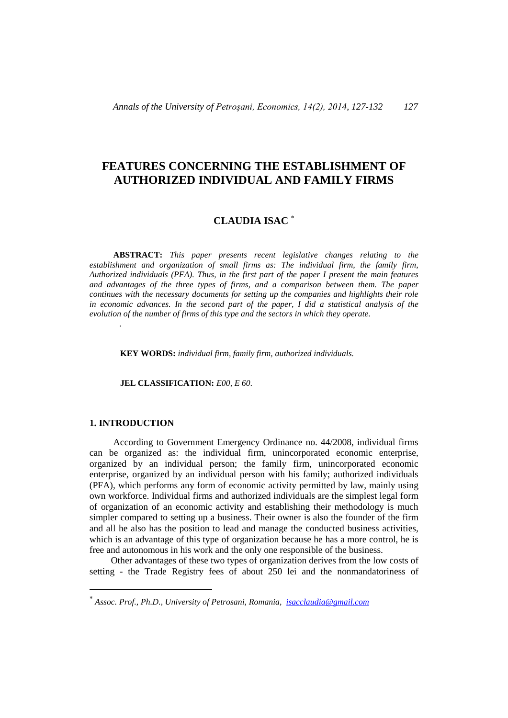# **FEATURES CONCERNING THE ESTABLISHMENT OF AUTHORIZED INDIVIDUAL AND FAMILY FIRMS**

# **CLAUDIA ISAC**

**ABSTRACT:** *This paper presents recent legislative changes relating to the establishment and organization of small firms as: The individual firm, the family firm, Authorized individuals (PFA). Thus, in the first part of the paper I present the main features and advantages of the three types of firms, and a comparison between them. The paper continues with the necessary documents for setting up the companies and highlights their role in economic advances. In the second part of the paper, I did a statistical analysis of the evolution of the number of firms of this type and the sectors in which they operate.*

**KEY WORDS:** *individual firm, family firm, authorized individuals.*

#### **JEL CLASSIFICATION:** *E00, E 60.*

## **1. INTRODUCTION**

 $\overline{a}$ 

*.*

According to Government Emergency Ordinance no. 44/2008, individual firms can be organized as: the individual firm, unincorporated economic enterprise, organized by an individual person; the family firm, unincorporated economic enterprise, organized by an individual person with his family; authorized individuals (PFA), which performs any form of economic activity permitted by law, mainly using own workforce. Individual firms and authorized individuals are the simplest legal form of organization of an economic activity and establishing their methodology is much simpler compared to setting up a business. Their owner is also the founder of the firm and all he also has the position to lead and manage the conducted business activities, which is an advantage of this type of organization because he has a more control, he is free and autonomous in his work and the only one responsible of the business.

Other advantages of these two types of organization derives from the low costs of setting - the Trade Registry fees of about 250 lei and the nonmandatoriness of

*Assoc. Prof., Ph.D., University of Petrosani, Romania, [isacclaudia@gmail.com](mailto:isacclaudia@gmail.com)*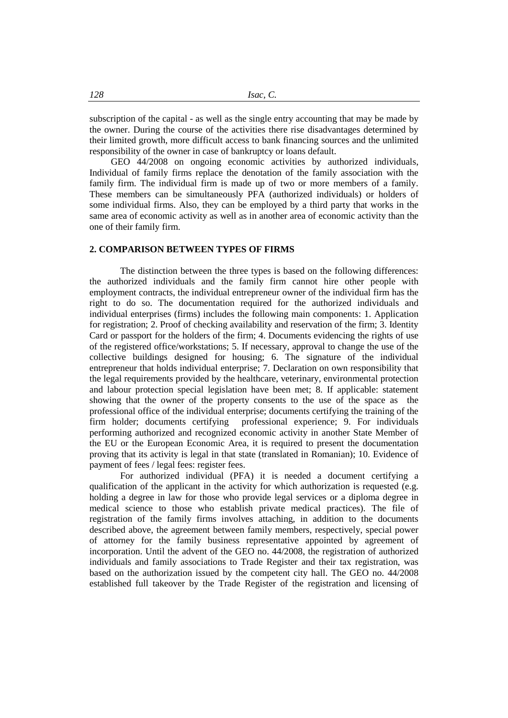subscription of the capital - as well as the single entry accounting that may be made by the owner. During the course of the activities there rise disadvantages determined by their limited growth, more difficult access to bank financing sources and the unlimited responsibility of the owner in case of bankruptcy or loans default.

GEO 44/2008 on ongoing economic activities by authorized individuals, Individual of family firms replace the denotation of the family association with the family firm. The individual firm is made up of two or more members of a family. These members can be simultaneously PFA (authorized individuals) or holders of some individual firms. Also, they can be employed by a third party that works in the same area of economic activity as well as in another area of economic activity than the one of their family firm.

### **2. COMPARISON BETWEEN TYPES OF FIRMS**

The distinction between the three types is based on the following differences: the authorized individuals and the family firm cannot hire other people with employment contracts, the individual entrepreneur owner of the individual firm has the right to do so. The documentation required for the authorized individuals and individual enterprises (firms) includes the following main components: 1. Application for registration; 2. Proof of checking availability and reservation of the firm; 3. Identity Card or passport for the holders of the firm; 4. Documents evidencing the rights of use of the registered office/workstations; 5. If necessary, approval to change the use of the collective buildings designed for housing; 6. The signature of the individual entrepreneur that holds individual enterprise; 7. Declaration on own responsibility that the legal requirements provided by the healthcare, veterinary, environmental protection and labour protection special legislation have been met; 8. If applicable: statement showing that the owner of the property consents to the use of the space as the professional office of the individual enterprise; documents certifying the training of the firm holder; documents certifying professional experience; 9. For individuals performing authorized and recognized economic activity in another State Member of the EU or the European Economic Area, it is required to present the documentation proving that its activity is legal in that state (translated in Romanian); 10. Evidence of payment of fees / legal fees: register fees.

For authorized individual (PFA) it is needed a document certifying a qualification of the applicant in the activity for which authorization is requested (e.g. holding a degree in law for those who provide legal services or a diploma degree in medical science to those who establish private medical practices). The file of registration of the family firms involves attaching, in addition to the documents described above, the agreement between family members, respectively, special power of attorney for the family business representative appointed by agreement of incorporation. Until the advent of the GEO no. 44/2008, the registration of authorized individuals and family associations to Trade Register and their tax registration, was based on the authorization issued by the competent city hall. The GEO no. 44/2008 established full takeover by the Trade Register of the registration and licensing of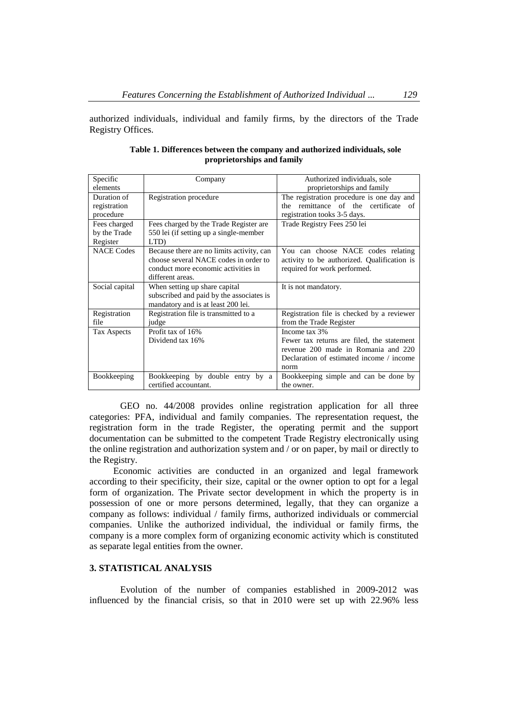authorized individuals, individual and family firms, by the directors of the Trade Registry Offices.

| Specific<br>elements                     | Company                                                                                                                                       | Authorized individuals, sole<br>proprietorships and family                                                                                             |  |  |  |  |
|------------------------------------------|-----------------------------------------------------------------------------------------------------------------------------------------------|--------------------------------------------------------------------------------------------------------------------------------------------------------|--|--|--|--|
| Duration of<br>registration<br>procedure | Registration procedure                                                                                                                        | The registration procedure is one day and<br>the remittance of the certificate of<br>registration tooks 3-5 days.                                      |  |  |  |  |
| Fees charged<br>by the Trade<br>Register | Fees charged by the Trade Register are.<br>550 lei (if setting up a single-member<br>LTD)                                                     | Trade Registry Fees 250 lei                                                                                                                            |  |  |  |  |
| <b>NACE Codes</b>                        | Because there are no limits activity, can<br>choose several NACE codes in order to<br>conduct more economic activities in<br>different areas. | You can choose NACE codes relating<br>activity to be authorized. Qualification is<br>required for work performed.                                      |  |  |  |  |
| Social capital                           | When setting up share capital<br>subscribed and paid by the associates is<br>mandatory and is at least 200 lei.                               | It is not mandatory.                                                                                                                                   |  |  |  |  |
| Registration<br>file                     | Registration file is transmitted to a<br>judge                                                                                                | Registration file is checked by a reviewer<br>from the Trade Register                                                                                  |  |  |  |  |
| Tax Aspects                              | Profit tax of 16%<br>Dividend tax 16%                                                                                                         | Income tax 3%<br>Fewer tax returns are filed, the statement<br>revenue 200 made in Romania and 220<br>Declaration of estimated income / income<br>norm |  |  |  |  |
| Bookkeeping                              | Bookkeeping by double entry by a<br>certified accountant.                                                                                     | Bookkeeping simple and can be done by<br>the owner.                                                                                                    |  |  |  |  |

**Table 1. Differences between the company and authorized individuals, sole proprietorships and family**

GEO no. 44/2008 provides online registration application for all three categories: PFA, individual and family companies. The representation request, the registration form in the trade Register, the operating permit and the support documentation can be submitted to the competent Trade Registry electronically using the online registration and authorization system and / or on paper, by mail or directly to the Registry.

Economic activities are conducted in an organized and legal framework according to their specificity, their size, capital or the owner option to opt for a legal form of organization. The Private sector development in which the property is in possession of one or more persons determined, legally, that they can organize a company as follows: individual / family firms, authorized individuals or commercial companies. Unlike the authorized individual, the individual or family firms, the company is a more complex form of organizing economic activity which is constituted as separate legal entities from the owner.

# **3. STATISTICAL ANALYSIS**

Evolution of the number of companies established in 2009-2012 was influenced by the financial crisis, so that in 2010 were set up with 22.96% less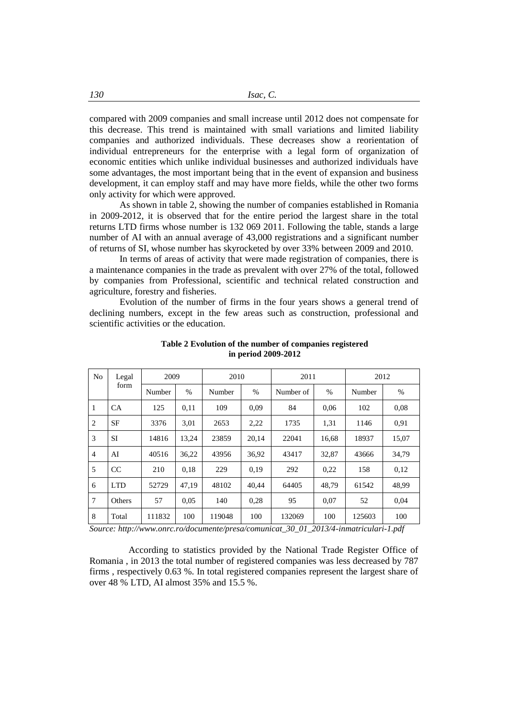compared with 2009 companies and small increase until 2012 does not compensate for this decrease. This trend is maintained with small variations and limited liability companies and authorized individuals. These decreases show a reorientation of individual entrepreneurs for the enterprise with a legal form of organization of economic entities which unlike individual businesses and authorized individuals have some advantages, the most important being that in the event of expansion and business development, it can employ staff and may have more fields, while the other two forms only activity for which were approved.

As shown in table 2, showing the number of companies established in Romania in 2009-2012, it is observed that for the entire period the largest share in the total returns LTD firms whose number is 132 069 2011. Following the table, stands a large number of AI with an annual average of 43,000 registrations and a significant number of returns of SI, whose number has skyrocketed by over 33% between 2009 and 2010.

In terms of areas of activity that were made registration of companies, there is a maintenance companies in the trade as prevalent with over 27% of the total, followed by companies from Professional, scientific and technical related construction and agriculture, forestry and fisheries.

Evolution of the number of firms in the four years shows a general trend of declining numbers, except in the few areas such as construction, professional and scientific activities or the education.

| N <sub>0</sub> | Legal<br>form | 2009   |                                     | 2010   |       | 2011                    |                | 2012   |       |
|----------------|---------------|--------|-------------------------------------|--------|-------|-------------------------|----------------|--------|-------|
|                |               | Number | $\%$<br>$\%$<br>Number of<br>Number |        | $\%$  | Number                  | $\%$           |        |       |
| 1              | <b>CA</b>     | 125    | 0,11                                | 109    | 0,09  | 84                      | 0,06           | 102    |       |
| $\overline{2}$ | SF            | 3376   | 3,01                                | 2653   | 2,22  | 1735                    | 1,31<br>1146   |        | 0.91  |
| 3              | SI            | 14816  | 13,24                               | 23859  | 20,14 | 22041                   | 16,68<br>18937 |        | 15,07 |
| $\overline{4}$ | AI            | 40516  | 36,22                               | 43956  | 36,92 | 43417<br>32,87<br>43666 |                | 34,79  |       |
| 5              | CC            | 210    | 0.18                                | 229    | 0,19  | 292<br>0,22<br>158      |                | 0,12   |       |
| 6              | <b>LTD</b>    | 52729  | 47,19                               | 48102  | 40,44 | 64405                   | 48,79<br>61542 |        | 48,99 |
| 7              | Others        | 57     | 0.05                                | 140    | 0,28  | 95                      | 0.07<br>52     |        | 0.04  |
| 8              | Total         | 111832 | 100                                 | 119048 | 100   | 132069                  | 100            | 125603 | 100   |

**Table 2 Evolution of the number of companies registered in period 2009-2012**

*Source: http://www.onrc.ro/documente/presa/comunicat\_30\_01\_2013/4-inmatriculari-1.pdf*

According to statistics provided by the National Trade Register Office of Romania , in 2013 the total number of registered companies was less decreased by 787 firms , respectively 0.63 %. In total registered companies represent the largest share of over 48 % LTD, AI almost 35% and 15.5 %.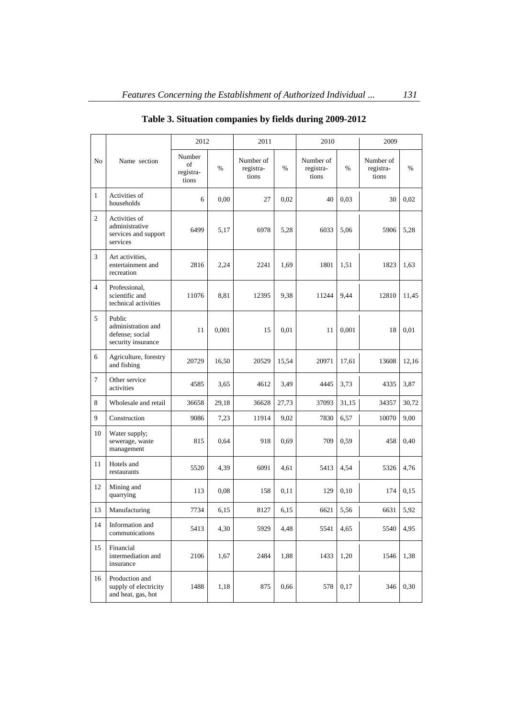|                |                                                                       | 2012                               |       | 2011                            |       | 2010                            |       | 2009                            |       |
|----------------|-----------------------------------------------------------------------|------------------------------------|-------|---------------------------------|-------|---------------------------------|-------|---------------------------------|-------|
| No             | Name section                                                          | Number<br>of<br>registra-<br>tions | $\%$  | Number of<br>registra-<br>tions | $\%$  | Number of<br>registra-<br>tions | $\%$  | Number of<br>registra-<br>tions | %     |
| 1              | Activities of<br>households                                           | 6                                  | 0,00  | 27                              | 0.02  | 40                              | 0.03  | 30                              | 0.02  |
| $\overline{c}$ | Activities of<br>administrative<br>services and support<br>services   | 6499                               | 5,17  | 6978                            | 5,28  | 6033                            | 5,06  | 5906                            | 5,28  |
| 3              | Art activities,<br>entertainment and<br>recreation                    | 2816                               | 2,24  | 2241                            | 1,69  | 1801                            | 1,51  | 1823                            | 1,63  |
| $\overline{4}$ | Professional,<br>scientific and<br>technical activities               | 11076                              | 8.81  | 12395                           | 9,38  | 11244                           | 9,44  | 12810                           | 11,45 |
| 5              | Public<br>administration and<br>defense; social<br>security insurance | 11                                 | 0,001 | 15                              | 0,01  | 11                              | 0,001 | 18                              | 0.01  |
| 6              | Agriculture, forestry<br>and fishing                                  | 20729                              | 16,50 | 20529                           | 15,54 | 20971                           | 17,61 | 13608                           | 12,16 |
| $\overline{7}$ | Other service<br>activities                                           | 4585                               | 3,65  | 4612                            | 3,49  | 4445                            | 3.73  | 4335                            | 3,87  |
| 8              | Wholesale and retail                                                  | 36658                              | 29,18 | 36628                           | 27,73 | 37093                           | 31,15 | 34357                           | 30,72 |
| 9              | Construction                                                          | 9086                               | 7,23  | 11914                           | 9,02  | 7830                            | 6,57  | 10070                           | 9,00  |
| 10             | Water supply;<br>sewerage, waste<br>management                        | 815                                | 0,64  | 918                             | 0.69  | 709                             | 0,59  | 458                             | 0,40  |
| 11             | Hotels and<br>restaurants                                             | 5520                               | 4,39  | 6091                            | 4,61  | 5413                            | 4,54  | 5326                            | 4,76  |
| 12             | Mining and<br>quarrying                                               | 113                                | 0,08  | 158                             | 0,11  | 129                             | 0.10  | 174                             | 0,15  |
| 13             | Manufacturing                                                         | 7734                               | 6,15  | 8127                            | 6,15  | 6621                            | 5,56  | 6631                            | 5,92  |
| 14             | Information and<br>communications                                     | 5413                               | 4,30  | 5929                            | 4,48  | 5541                            | 4,65  | 5540                            | 4,95  |
| 15             | Financial<br>intermediation and<br>insurance                          | 2106                               | 1,67  | 2484                            | 1,88  | 1433                            | 1,20  | 1546                            | 1,38  |
| 16             | Production and<br>supply of electricity<br>and heat, gas, hot         | 1488                               | 1,18  | 875                             | 0,66  | 578                             | 0,17  | 346                             | 0,30  |

# **Table 3. Situation companies by fields during 2009-2012**